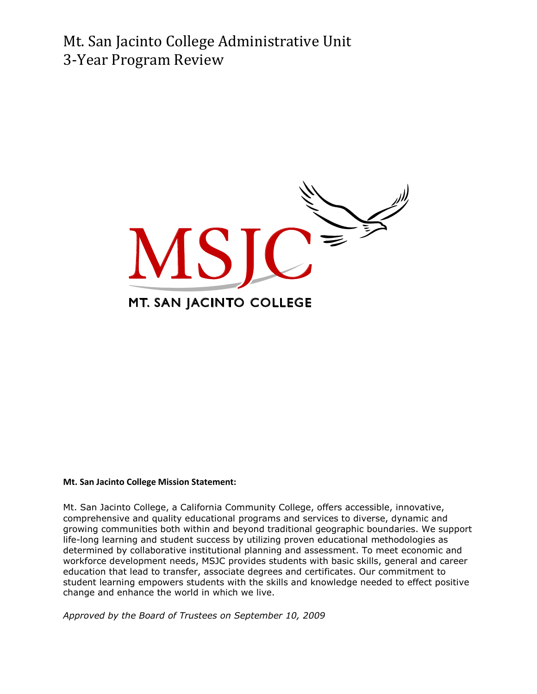Mt. San Jacinto College Administrative Unit 3-Year Program Review



#### **Mt. San Jacinto College Mission Statement:**

Mt. San Jacinto College, a California Community College, offers accessible, innovative, comprehensive and quality educational programs and services to diverse, dynamic and growing communities both within and beyond traditional geographic boundaries. We support life-long learning and student success by utilizing proven educational methodologies as determined by collaborative institutional planning and assessment. To meet economic and workforce development needs, MSJC provides students with basic skills, general and career education that lead to transfer, associate degrees and certificates. Our commitment to student learning empowers students with the skills and knowledge needed to effect positive change and enhance the world in which we live.

*Approved by the Board of Trustees on September 10, 2009*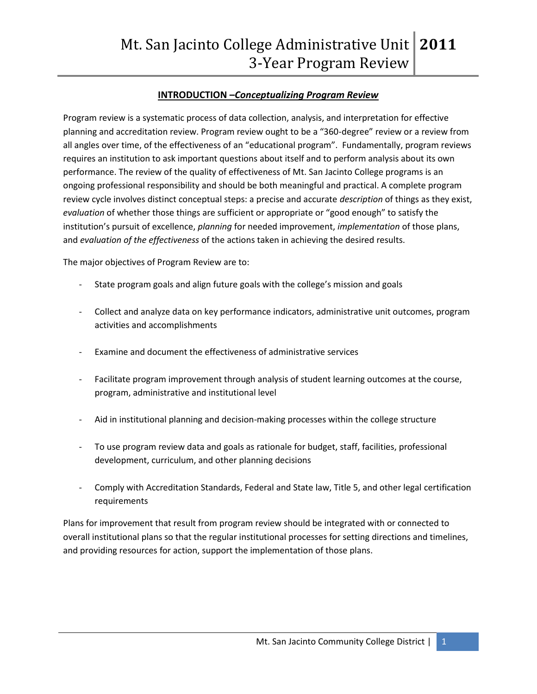# **INTRODUCTION –***Conceptualizing Program Review*

Program review is a systematic process of data collection, analysis, and interpretation for effective planning and accreditation review. Program review ought to be a "360-degree" review or a review from all angles over time, of the effectiveness of an "educational program". Fundamentally, program reviews requires an institution to ask important questions about itself and to perform analysis about its own performance. The review of the quality of effectiveness of Mt. San Jacinto College programs is an ongoing professional responsibility and should be both meaningful and practical. A complete program review cycle involves distinct conceptual steps: a precise and accurate *description* of things as they exist, *evaluation* of whether those things are sufficient or appropriate or "good enough" to satisfy the institution's pursuit of excellence, *planning* for needed improvement, *implementation* of those plans, and *evaluation of the effectiveness* of the actions taken in achieving the desired results.

The major objectives of Program Review are to:

- State program goals and align future goals with the college's mission and goals
- Collect and analyze data on key performance indicators, administrative unit outcomes, program activities and accomplishments
- Examine and document the effectiveness of administrative services
- Facilitate program improvement through analysis of student learning outcomes at the course, program, administrative and institutional level
- Aid in institutional planning and decision-making processes within the college structure
- To use program review data and goals as rationale for budget, staff, facilities, professional development, curriculum, and other planning decisions
- Comply with Accreditation Standards, Federal and State law, Title 5, and other legal certification requirements

Plans for improvement that result from program review should be integrated with or connected to overall institutional plans so that the regular institutional processes for setting directions and timelines, and providing resources for action, support the implementation of those plans.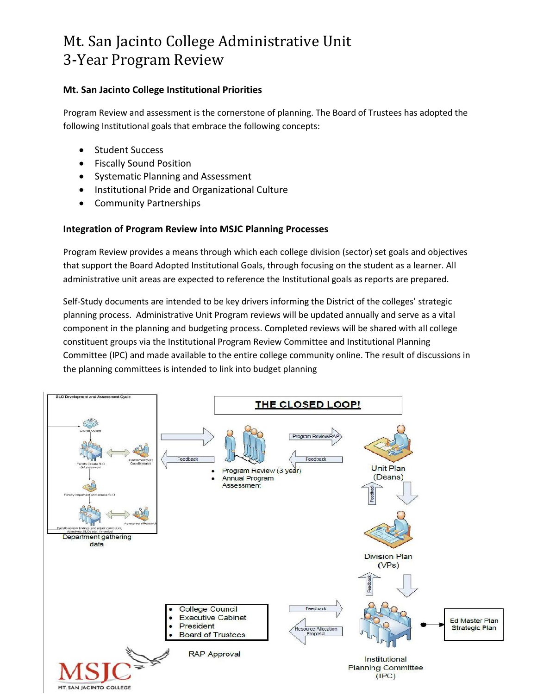# Mt. San Jacinto College Administrative Unit 3-Year Program Review

## **Mt. San Jacinto College Institutional Priorities**

Program Review and assessment is the cornerstone of planning. The Board of Trustees has adopted the following Institutional goals that embrace the following concepts:

- Student Success
- Fiscally Sound Position
- Systematic Planning and Assessment
- Institutional Pride and Organizational Culture
- Community Partnerships

# **Integration of Program Review into MSJC Planning Processes**

Program Review provides a means through which each college division (sector) set goals and objectives that support the Board Adopted Institutional Goals, through focusing on the student as a learner. All administrative unit areas are expected to reference the Institutional goals as reports are prepared.

Self-Study documents are intended to be key drivers informing the District of the colleges' strategic planning process. Administrative Unit Program reviews will be updated annually and serve as a vital component in the planning and budgeting process. Completed reviews will be shared with all college constituent groups via the Institutional Program Review Committee and Institutional Planning Committee (IPC) and made available to the entire college community online. The result of discussions in the planning committees is intended to link into budget planning

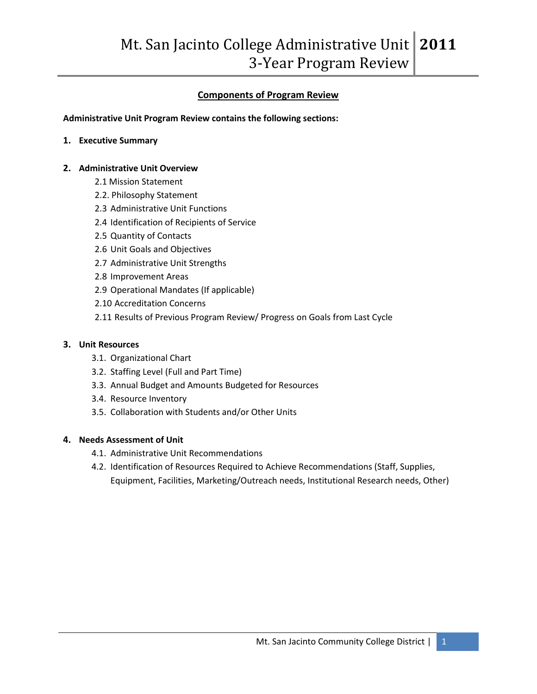# **Components of Program Review**

**Administrative Unit Program Review contains the following sections:** 

**1. Executive Summary**

#### **2. Administrative Unit Overview**

- 2.1 Mission Statement
- 2.2. Philosophy Statement
- 2.3 Administrative Unit Functions
- 2.4 Identification of Recipients of Service
- 2.5 Quantity of Contacts
- 2.6 Unit Goals and Objectives
- 2.7 Administrative Unit Strengths
- 2.8 Improvement Areas
- 2.9 Operational Mandates (If applicable)
- 2.10 Accreditation Concerns
- 2.11 Results of Previous Program Review/ Progress on Goals from Last Cycle

#### **3. Unit Resources**

- 3.1. Organizational Chart
- 3.2. Staffing Level (Full and Part Time)
- 3.3. Annual Budget and Amounts Budgeted for Resources
- 3.4. Resource Inventory
- 3.5. Collaboration with Students and/or Other Units

#### **4. Needs Assessment of Unit**

- 4.1. Administrative Unit Recommendations
- 4.2. Identification of Resources Required to Achieve Recommendations (Staff, Supplies, Equipment, Facilities, Marketing/Outreach needs, Institutional Research needs, Other)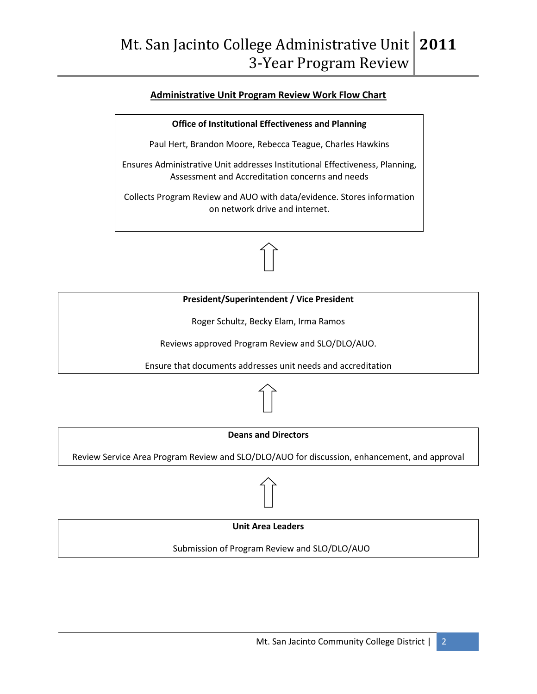#### **Administrative Unit Program Review Work Flow Chart**

**Office of Institutional Effectiveness and Planning**

Paul Hert, Brandon Moore, Rebecca Teague, Charles Hawkins

Ensures Administrative Unit addresses Institutional Effectiveness, Planning, Assessment and Accreditation concerns and needs

Collects Program Review and AUO with data/evidence. Stores information on network drive and internet.



Reviews approved Program Review and SLO/DLO/AUO.

Ensure that documents addresses unit needs and accreditation



#### **Deans and Directors**

Review Service Area Program Review and SLO/DLO/AUO for discussion, enhancement, and approval



Submission of Program Review and SLO/DLO/AUO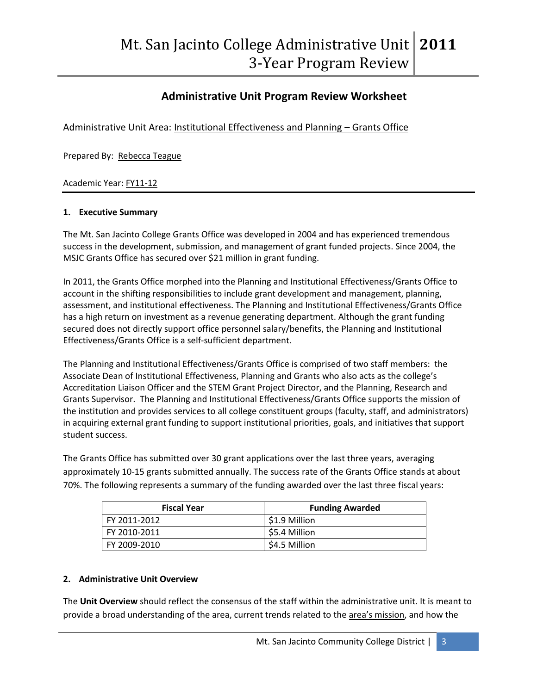# **Administrative Unit Program Review Worksheet**

Administrative Unit Area: Institutional Effectiveness and Planning – Grants Office

Prepared By: Rebecca Teague

Academic Year: FY11-12

#### **1. Executive Summary**

The Mt. San Jacinto College Grants Office was developed in 2004 and has experienced tremendous success in the development, submission, and management of grant funded projects. Since 2004, the MSJC Grants Office has secured over \$21 million in grant funding.

In 2011, the Grants Office morphed into the Planning and Institutional Effectiveness/Grants Office to account in the shifting responsibilities to include grant development and management, planning, assessment, and institutional effectiveness. The Planning and Institutional Effectiveness/Grants Office has a high return on investment as a revenue generating department. Although the grant funding secured does not directly support office personnel salary/benefits, the Planning and Institutional Effectiveness/Grants Office is a self-sufficient department.

The Planning and Institutional Effectiveness/Grants Office is comprised of two staff members: the Associate Dean of Institutional Effectiveness, Planning and Grants who also acts as the college's Accreditation Liaison Officer and the STEM Grant Project Director, and the Planning, Research and Grants Supervisor. The Planning and Institutional Effectiveness/Grants Office supports the mission of the institution and provides services to all college constituent groups (faculty, staff, and administrators) in acquiring external grant funding to support institutional priorities, goals, and initiatives that support student success.

The Grants Office has submitted over 30 grant applications over the last three years, averaging approximately 10-15 grants submitted annually. The success rate of the Grants Office stands at about 70%. The following represents a summary of the funding awarded over the last three fiscal years:

| <b>Fiscal Year</b> | <b>Funding Awarded</b> |
|--------------------|------------------------|
| FY 2011-2012       | \$1.9 Million          |
| FY 2010-2011       | \$5.4 Million          |
| FY 2009-2010       | \$4.5 Million          |

#### **2. Administrative Unit Overview**

The **Unit Overview** should reflect the consensus of the staff within the administrative unit. It is meant to provide a broad understanding of the area, current trends related to the area's mission, and how the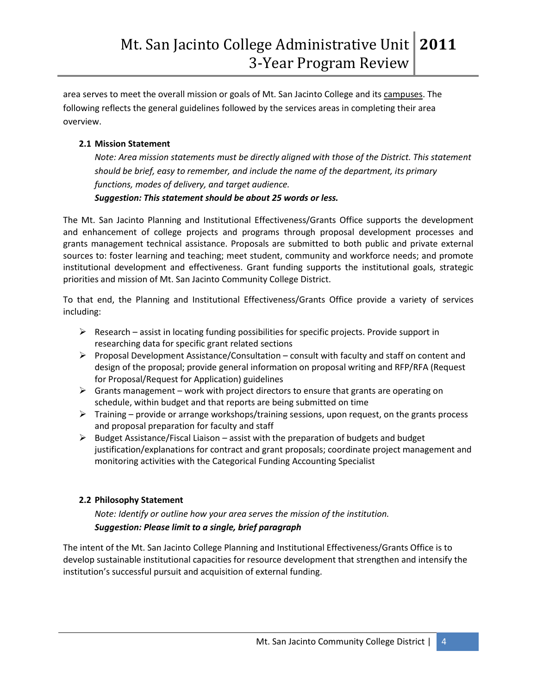area serves to meet the overall mission or goals of Mt. San Jacinto College and its campuses. The following reflects the general guidelines followed by the services areas in completing their area overview.

# **2.1 Mission Statement**

*Note: Area mission statements must be directly aligned with those of the District. This statement should be brief, easy to remember, and include the name of the department, its primary functions, modes of delivery, and target audience.* 

# *Suggestion: This statement should be about 25 words or less.*

The Mt. San Jacinto Planning and Institutional Effectiveness/Grants Office supports the development and enhancement of college projects and programs through proposal development processes and grants management technical assistance. Proposals are submitted to both public and private external sources to: foster learning and teaching; meet student, community and workforce needs; and promote institutional development and effectiveness. Grant funding supports the institutional goals, strategic priorities and mission of Mt. San Jacinto Community College District.

To that end, the Planning and Institutional Effectiveness/Grants Office provide a variety of services including:

- $\triangleright$  Research assist in locating funding possibilities for specific projects. Provide support in researching data for specific grant related sections
- **Proposal Development Assistance/Consultation consult with faculty and staff on content and** design of the proposal; provide general information on proposal writing and RFP/RFA (Request for Proposal/Request for Application) guidelines
- $\triangleright$  Grants management work with project directors to ensure that grants are operating on schedule, within budget and that reports are being submitted on time
- $\triangleright$  Training provide or arrange workshops/training sessions, upon request, on the grants process and proposal preparation for faculty and staff
- $\triangleright$  Budget Assistance/Fiscal Liaison assist with the preparation of budgets and budget justification/explanations for contract and grant proposals; coordinate project management and monitoring activities with the Categorical Funding Accounting Specialist

# **2.2 Philosophy Statement**

*Note: Identify or outline how your area serves the mission of the institution. Suggestion: Please limit to a single, brief paragraph*

The intent of the Mt. San Jacinto College Planning and Institutional Effectiveness/Grants Office is to develop sustainable institutional capacities for resource development that strengthen and intensify the institution's successful pursuit and acquisition of external funding.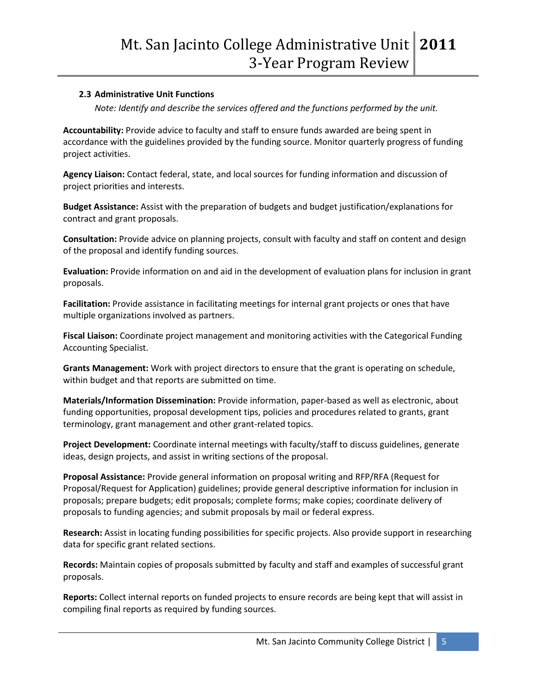## **2.3 Administrative Unit Functions**

*Note: Identify and describe the services offered and the functions performed by the unit.* 

**Accountability:** Provide advice to faculty and staff to ensure funds awarded are being spent in accordance with the guidelines provided by the funding source. Monitor quarterly progress of funding project activities.

**Agency Liaison:** Contact federal, state, and local sources for funding information and discussion of project priorities and interests.

Budget Assistance: Assist with the preparation of budgets and budget justification/explanations for contract and grant proposals.

**Consultation:** Provide advice on planning projects, consult with faculty and staff on content and design of the proposal and identify funding sources.

**Evaluation:** Provide information on and aid in the development of evaluation plans for inclusion in grant proposals.

**Facilitation:** Provide assistance in facilitating meetings for internal grant projects or ones that have multiple organizations involved as partners.

**Fiscal Liaison:** Coordinate project management and monitoring activities with the Categorical Funding Accounting Specialist.

**Grants Management:** Work with project directors to ensure that the grant is operating on schedule, within budget and that reports are submitted on time.

**Materials/Information Dissemination:** Provide information, paper-based as well as electronic, about funding opportunities, proposal development tips, policies and procedures related to grants, grant terminology, grant management and other grant-related topics.

**Project Development:** Coordinate internal meetings with faculty/staff to discuss guidelines, generate ideas, design projects, and assist in writing sections of the proposal.

**Proposal Assistance:** Provide general information on proposal writing and RFP/RFA (Request for Proposal/Request for Application) guidelines; provide general descriptive information for inclusion in proposals; prepare budgets; edit proposals; complete forms; make copies; coordinate delivery of proposals to funding agencies; and submit proposals by mail or federal express.

**Research:** Assist in locating funding possibilities for specific projects. Also provide support in researching data for specific grant related sections.

**Records:** Maintain copies of proposals submitted by faculty and staff and examples of successful grant proposals.

**Reports:** Collect internal reports on funded projects to ensure records are being kept that will assist in compiling final reports as required by funding sources.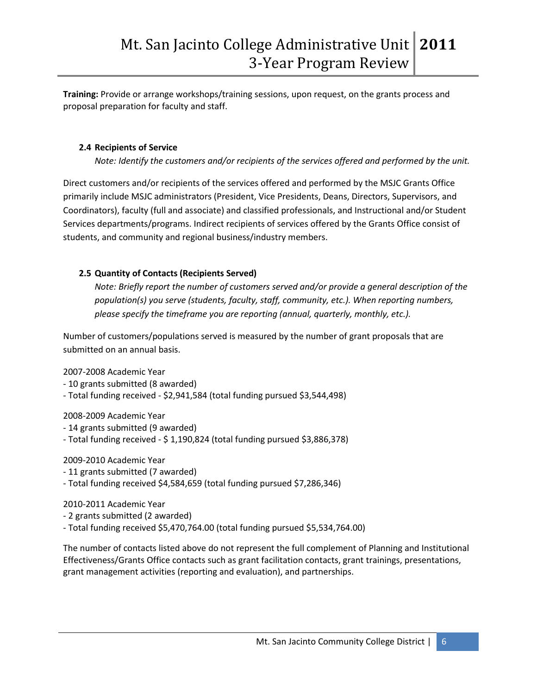**Training:** Provide or arrange workshops/training sessions, upon request, on the grants process and proposal preparation for faculty and staff.

#### **2.4 Recipients of Service**

*Note: Identify the customers and/or recipients of the services offered and performed by the unit.* 

Direct customers and/or recipients of the services offered and performed by the MSJC Grants Office primarily include MSJC administrators (President, Vice Presidents, Deans, Directors, Supervisors, and Coordinators), faculty (full and associate) and classified professionals, and Instructional and/or Student Services departments/programs. Indirect recipients of services offered by the Grants Office consist of students, and community and regional business/industry members.

#### **2.5 Quantity of Contacts (Recipients Served)**

*Note: Briefly report the number of customers served and/or provide a general description of the population(s) you serve (students, faculty, staff, community, etc.). When reporting numbers, please specify the timeframe you are reporting (annual, quarterly, monthly, etc.).* 

Number of customers/populations served is measured by the number of grant proposals that are submitted on an annual basis.

2007-2008 Academic Year

- 10 grants submitted (8 awarded)
- Total funding received \$2,941,584 (total funding pursued \$3,544,498)

2008-2009 Academic Year

- 14 grants submitted (9 awarded)
- Total funding received \$ 1,190,824 (total funding pursued \$3,886,378)

2009-2010 Academic Year

- 11 grants submitted (7 awarded)
- Total funding received \$4,584,659 (total funding pursued \$7,286,346)

2010-2011 Academic Year

- 2 grants submitted (2 awarded)

- Total funding received \$5,470,764.00 (total funding pursued \$5,534,764.00)

The number of contacts listed above do not represent the full complement of Planning and Institutional Effectiveness/Grants Office contacts such as grant facilitation contacts, grant trainings, presentations, grant management activities (reporting and evaluation), and partnerships.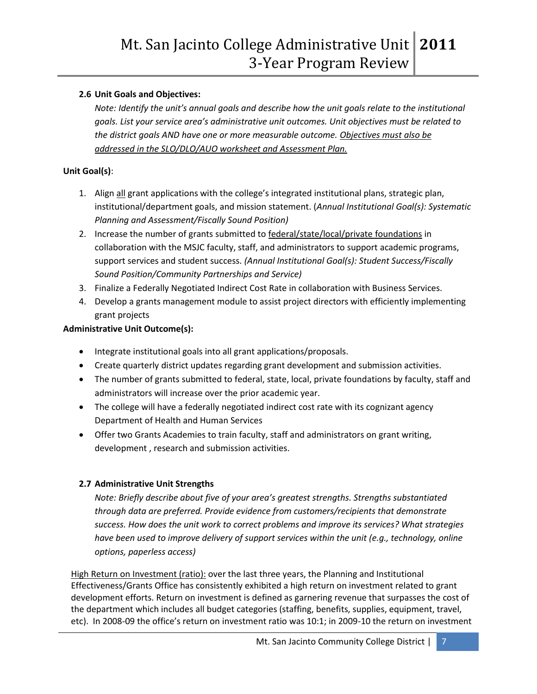## **2.6 Unit Goals and Objectives:**

*Note: Identify the unit's annual goals and describe how the unit goals relate to the institutional goals. List your service area's administrative unit outcomes. Unit objectives must be related to the district goals AND have one or more measurable outcome. Objectives must also be addressed in the SLO/DLO/AUO worksheet and Assessment Plan.* 

#### **Unit Goal(s)**:

- 1. Align all grant applications with the college's integrated institutional plans, strategic plan, institutional/department goals, and mission statement. (*Annual Institutional Goal(s): Systematic Planning and Assessment/Fiscally Sound Position)*
- 2. Increase the number of grants submitted to federal/state/local/private foundations in collaboration with the MSJC faculty, staff, and administrators to support academic programs, support services and student success. *(Annual Institutional Goal(s): Student Success/Fiscally Sound Position/Community Partnerships and Service)*
- 3. Finalize a Federally Negotiated Indirect Cost Rate in collaboration with Business Services.
- 4. Develop a grants management module to assist project directors with efficiently implementing grant projects

#### **Administrative Unit Outcome(s):**

- Integrate institutional goals into all grant applications/proposals.
- Create quarterly district updates regarding grant development and submission activities.
- The number of grants submitted to federal, state, local, private foundations by faculty, staff and administrators will increase over the prior academic year.
- The college will have a federally negotiated indirect cost rate with its cognizant agency Department of Health and Human Services
- Offer two Grants Academies to train faculty, staff and administrators on grant writing, development , research and submission activities.

#### **2.7 Administrative Unit Strengths**

*Note: Briefly describe about five of your area's greatest strengths. Strengths substantiated through data are preferred. Provide evidence from customers/recipients that demonstrate success. How does the unit work to correct problems and improve its services? What strategies have been used to improve delivery of support services within the unit (e.g., technology, online options, paperless access)*

High Return on Investment (ratio): over the last three years, the Planning and Institutional Effectiveness/Grants Office has consistently exhibited a high return on investment related to grant development efforts. Return on investment is defined as garnering revenue that surpasses the cost of the department which includes all budget categories (staffing, benefits, supplies, equipment, travel, etc). In 2008-09 the office's return on investment ratio was 10:1; in 2009-10 the return on investment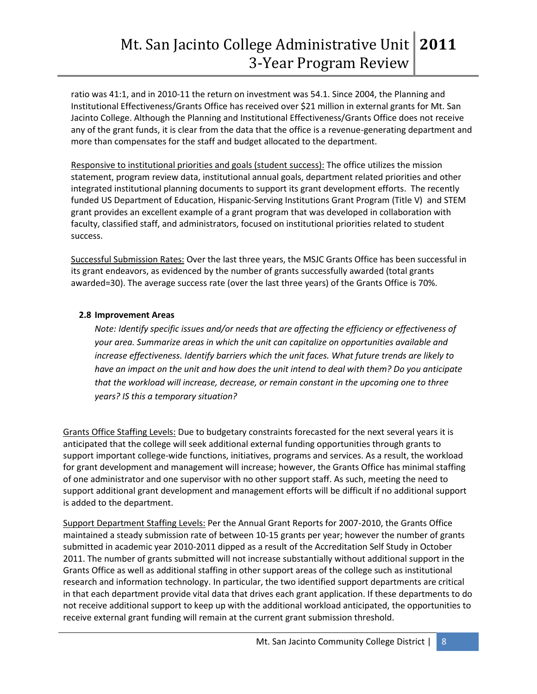ratio was 41:1, and in 2010-11 the return on investment was 54.1. Since 2004, the Planning and Institutional Effectiveness/Grants Office has received over \$21 million in external grants for Mt. San Jacinto College. Although the Planning and Institutional Effectiveness/Grants Office does not receive any of the grant funds, it is clear from the data that the office is a revenue-generating department and more than compensates for the staff and budget allocated to the department.

Responsive to institutional priorities and goals (student success): The office utilizes the mission statement, program review data, institutional annual goals, department related priorities and other integrated institutional planning documents to support its grant development efforts. The recently funded US Department of Education, Hispanic-Serving Institutions Grant Program (Title V) and STEM grant provides an excellent example of a grant program that was developed in collaboration with faculty, classified staff, and administrators, focused on institutional priorities related to student success.

Successful Submission Rates: Over the last three years, the MSJC Grants Office has been successful in its grant endeavors, as evidenced by the number of grants successfully awarded (total grants awarded=30). The average success rate (over the last three years) of the Grants Office is 70%.

#### **2.8 Improvement Areas**

*Note: Identify specific issues and/or needs that are affecting the efficiency or effectiveness of your area. Summarize areas in which the unit can capitalize on opportunities available and increase effectiveness. Identify barriers which the unit faces. What future trends are likely to have an impact on the unit and how does the unit intend to deal with them? Do you anticipate that the workload will increase, decrease, or remain constant in the upcoming one to three years? IS this a temporary situation?*

Grants Office Staffing Levels: Due to budgetary constraints forecasted for the next several years it is anticipated that the college will seek additional external funding opportunities through grants to support important college-wide functions, initiatives, programs and services. As a result, the workload for grant development and management will increase; however, the Grants Office has minimal staffing of one administrator and one supervisor with no other support staff. As such, meeting the need to support additional grant development and management efforts will be difficult if no additional support is added to the department.

Support Department Staffing Levels: Per the Annual Grant Reports for 2007-2010, the Grants Office maintained a steady submission rate of between 10-15 grants per year; however the number of grants submitted in academic year 2010-2011 dipped as a result of the Accreditation Self Study in October 2011. The number of grants submitted will not increase substantially without additional support in the Grants Office as well as additional staffing in other support areas of the college such as institutional research and information technology. In particular, the two identified support departments are critical in that each department provide vital data that drives each grant application. If these departments to do not receive additional support to keep up with the additional workload anticipated, the opportunities to receive external grant funding will remain at the current grant submission threshold.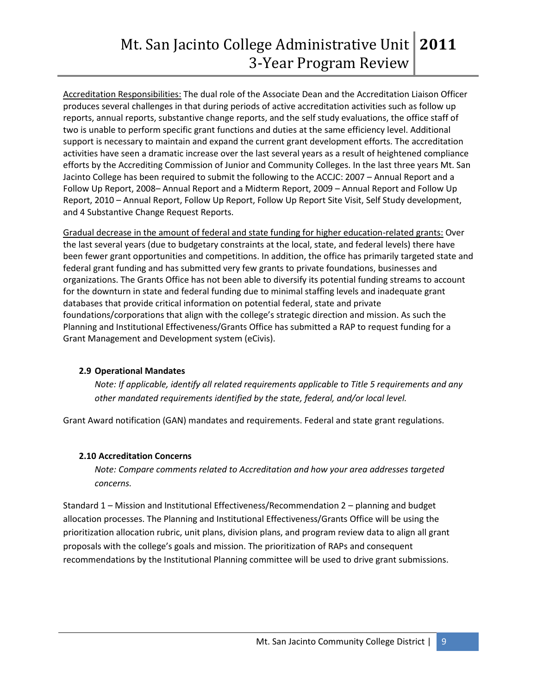Accreditation Responsibilities: The dual role of the Associate Dean and the Accreditation Liaison Officer produces several challenges in that during periods of active accreditation activities such as follow up reports, annual reports, substantive change reports, and the self study evaluations, the office staff of two is unable to perform specific grant functions and duties at the same efficiency level. Additional support is necessary to maintain and expand the current grant development efforts. The accreditation activities have seen a dramatic increase over the last several years as a result of heightened compliance efforts by the Accrediting Commission of Junior and Community Colleges. In the last three years Mt. San Jacinto College has been required to submit the following to the ACCJC: 2007 – Annual Report and a Follow Up Report, 2008– Annual Report and a Midterm Report, 2009 – Annual Report and Follow Up Report, 2010 – Annual Report, Follow Up Report, Follow Up Report Site Visit, Self Study development, and 4 Substantive Change Request Reports.

Gradual decrease in the amount of federal and state funding for higher education-related grants: Over the last several years (due to budgetary constraints at the local, state, and federal levels) there have been fewer grant opportunities and competitions. In addition, the office has primarily targeted state and federal grant funding and has submitted very few grants to private foundations, businesses and organizations. The Grants Office has not been able to diversify its potential funding streams to account for the downturn in state and federal funding due to minimal staffing levels and inadequate grant databases that provide critical information on potential federal, state and private foundations/corporations that align with the college's strategic direction and mission. As such the Planning and Institutional Effectiveness/Grants Office has submitted a RAP to request funding for a Grant Management and Development system (eCivis).

#### **2.9 Operational Mandates**

*Note: If applicable, identify all related requirements applicable to Title 5 requirements and any other mandated requirements identified by the state, federal, and/or local level.* 

Grant Award notification (GAN) mandates and requirements. Federal and state grant regulations.

#### **2.10 Accreditation Concerns**

*Note: Compare comments related to Accreditation and how your area addresses targeted concerns.* 

Standard 1 – Mission and Institutional Effectiveness/Recommendation 2 – planning and budget allocation processes. The Planning and Institutional Effectiveness/Grants Office will be using the prioritization allocation rubric, unit plans, division plans, and program review data to align all grant proposals with the college's goals and mission. The prioritization of RAPs and consequent recommendations by the Institutional Planning committee will be used to drive grant submissions.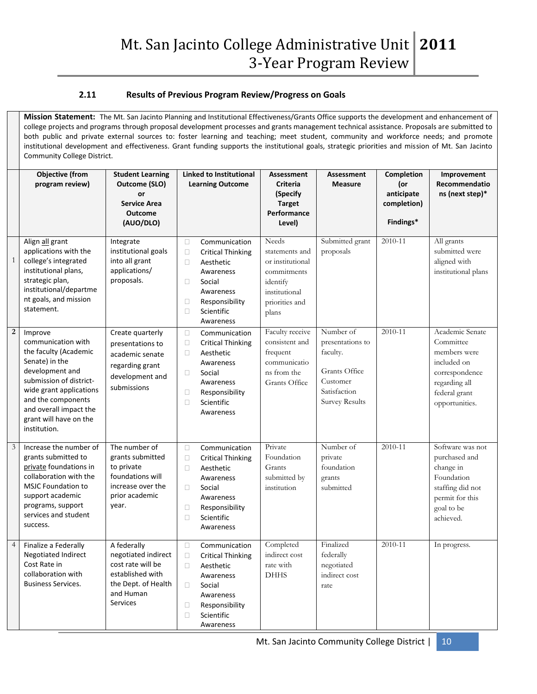#### **2.11 Results of Previous Program Review/Progress on Goals**

**Mission Statement:** The Mt. San Jacinto Planning and Institutional Effectiveness/Grants Office supports the development and enhancement of college projects and programs through proposal development processes and grants management technical assistance. Proposals are submitted to both public and private external sources to: foster learning and teaching; meet student, community and workforce needs; and promote institutional development and effectiveness. Grant funding supports the institutional goals, strategic priorities and mission of Mt. San Jacinto Community College District.

|                  | <b>Objective (from</b><br>program review)                                                                                                                                                                                                   | <b>Student Learning</b><br>Outcome (SLO)<br>or<br><b>Service Area</b><br><b>Outcome</b><br>(AUO/DLO)                        | <b>Linked to Institutional</b><br><b>Learning Outcome</b>                                                                                                                                           | <b>Assessment</b><br><b>Criteria</b><br>(Specify<br><b>Target</b><br>Performance<br>Level)                         | Assessment<br><b>Measure</b>                                                                             | Completion<br>(or<br>anticipate<br>completion)<br>Findings* | Improvement<br>Recommendatio<br>ns (next step)*                                                                                   |
|------------------|---------------------------------------------------------------------------------------------------------------------------------------------------------------------------------------------------------------------------------------------|-----------------------------------------------------------------------------------------------------------------------------|-----------------------------------------------------------------------------------------------------------------------------------------------------------------------------------------------------|--------------------------------------------------------------------------------------------------------------------|----------------------------------------------------------------------------------------------------------|-------------------------------------------------------------|-----------------------------------------------------------------------------------------------------------------------------------|
| $\mathbf{1}$     | Align all grant<br>applications with the<br>college's integrated<br>institutional plans,<br>strategic plan,<br>institutional/departme<br>nt goals, and mission<br>statement.                                                                | Integrate<br>institutional goals<br>into all grant<br>applications/<br>proposals.                                           | $\Box$<br>Communication<br>$\Box$<br><b>Critical Thinking</b><br>$\Box$<br>Aesthetic<br>Awareness<br>$\Box$<br>Social<br>Awareness<br>$\Box$<br>Responsibility<br>Scientific<br>$\Box$<br>Awareness | Needs<br>statements and<br>or institutional<br>commitments<br>identify<br>institutional<br>priorities and<br>plans | Submitted grant<br>proposals                                                                             | 2010-11                                                     | All grants<br>submitted were<br>aligned with<br>institutional plans                                                               |
| $\boldsymbol{2}$ | Improve<br>communication with<br>the faculty (Academic<br>Senate) in the<br>development and<br>submission of district-<br>wide grant applications<br>and the components<br>and overall impact the<br>grant will have on the<br>institution. | Create quarterly<br>presentations to<br>academic senate<br>regarding grant<br>development and<br>submissions                | Communication<br>$\Box$<br>$\Box$<br><b>Critical Thinking</b><br>Aesthetic<br>□<br>Awareness<br>$\Box$<br>Social<br>Awareness<br>Responsibility<br>$\Box$<br>$\Box$<br>Scientific<br>Awareness      | Faculty receive<br>consistent and<br>frequent<br>communicatio<br>ns from the<br><b>Grants</b> Office               | Number of<br>presentations to<br>faculty.<br>Grants Office<br>Customer<br>Satisfaction<br>Survey Results | 2010-11                                                     | Academic Senate<br>Committee<br>members were<br>included on<br>correspondence<br>regarding all<br>federal grant<br>opportunities. |
| $\mathfrak{Z}$   | Increase the number of<br>grants submitted to<br>private foundations in<br>collaboration with the<br><b>MSJC Foundation to</b><br>support academic<br>programs, support<br>services and student<br>success.                                 | The number of<br>grants submitted<br>to private<br>foundations will<br>increase over the<br>prior academic<br>year.         | Communication<br>$\Box$<br><b>Critical Thinking</b><br>$\Box$<br>$\Box$<br>Aesthetic<br>Awareness<br>П<br>Social<br>Awareness<br>$\Box$<br>Responsibility<br>$\Box$<br>Scientific<br>Awareness      | Private<br>Foundation<br>Grants<br>submitted by<br>institution                                                     | Number of<br>private<br>foundation<br>grants<br>submitted                                                | 2010-11                                                     | Software was not<br>purchased and<br>change in<br>Foundation<br>staffing did not<br>permit for this<br>goal to be<br>achieved.    |
| $\overline{4}$   | Finalize a Federally<br>Negotiated Indirect<br>Cost Rate in<br>collaboration with<br><b>Business Services.</b>                                                                                                                              | A federally<br>negotiated indirect<br>cost rate will be<br>established with<br>the Dept. of Health<br>and Human<br>Services | Communication<br>$\Box$<br>$\Box$<br><b>Critical Thinking</b><br>Aesthetic<br>□<br>Awareness<br>$\Box$<br>Social<br>Awareness<br>Responsibility<br>$\Box$<br>Scientific<br>$\Box$<br>Awareness      | Completed<br>indirect cost<br>rate with<br><b>DHHS</b>                                                             | Finalized<br>federally<br>negotiated<br>indirect cost<br>rate                                            | 2010-11                                                     | In progress.                                                                                                                      |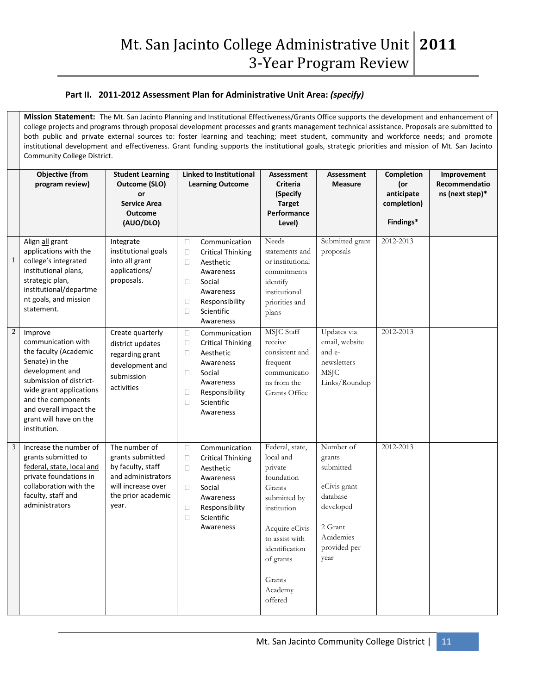#### **Part II. 2011-2012 Assessment Plan for Administrative Unit Area:** *(specify)*

**Mission Statement:** The Mt. San Jacinto Planning and Institutional Effectiveness/Grants Office supports the development and enhancement of college projects and programs through proposal development processes and grants management technical assistance. Proposals are submitted to both public and private external sources to: foster learning and teaching; meet student, community and workforce needs; and promote institutional development and effectiveness. Grant funding supports the institutional goals, strategic priorities and mission of Mt. San Jacinto Community College District.

|                  | <b>Objective (from</b><br>program review)                                                                                                                                                                                                   | <b>Student Learning</b><br>Outcome (SLO)<br>or<br><b>Service Area</b><br><b>Outcome</b><br>(AUO/DLO)                              | <b>Linked to Institutional</b><br><b>Learning Outcome</b>                                                                                                                                           | Assessment<br><b>Criteria</b><br>(Specify<br><b>Target</b><br>Performance<br>Level)                                                                                                               | <b>Assessment</b><br><b>Measure</b>                                                                                       | <b>Completion</b><br>(or<br>anticipate<br>completion)<br>Findings* | Improvement<br>Recommendatio<br>ns (next step)* |
|------------------|---------------------------------------------------------------------------------------------------------------------------------------------------------------------------------------------------------------------------------------------|-----------------------------------------------------------------------------------------------------------------------------------|-----------------------------------------------------------------------------------------------------------------------------------------------------------------------------------------------------|---------------------------------------------------------------------------------------------------------------------------------------------------------------------------------------------------|---------------------------------------------------------------------------------------------------------------------------|--------------------------------------------------------------------|-------------------------------------------------|
| $\mathbf{1}$     | Align all grant<br>applications with the<br>college's integrated<br>institutional plans,<br>strategic plan,<br>institutional/departme<br>nt goals, and mission<br>statement.                                                                | Integrate<br>institutional goals<br>into all grant<br>applications/<br>proposals.                                                 | Communication<br>$\Box$<br>$\Box$<br><b>Critical Thinking</b><br>$\Box$<br>Aesthetic<br>Awareness<br>$\Box$<br>Social<br>Awareness<br>$\Box$<br>Responsibility<br>$\Box$<br>Scientific<br>Awareness | Needs<br>statements and<br>or institutional<br>commitments<br>identify<br>institutional<br>priorities and<br>plans                                                                                | Submitted grant<br>proposals                                                                                              | 2012-2013                                                          |                                                 |
| $\boldsymbol{2}$ | Improve<br>communication with<br>the faculty (Academic<br>Senate) in the<br>development and<br>submission of district-<br>wide grant applications<br>and the components<br>and overall impact the<br>grant will have on the<br>institution. | Create quarterly<br>district updates<br>regarding grant<br>development and<br>submission<br>activities                            | $\Box$<br>Communication<br>$\Box$<br><b>Critical Thinking</b><br>$\Box$<br>Aesthetic<br>Awareness<br>Social<br>□<br>Awareness<br>$\Box$<br>Responsibility<br>$\Box$<br>Scientific<br>Awareness      | MSJC Staff<br>receive<br>consistent and<br>frequent<br>communicatio<br>ns from the<br>Grants Office                                                                                               | Updates via<br>email, website<br>and e-<br>newsletters<br><b>MSJC</b><br>Links/Roundup                                    | 2012-2013                                                          |                                                 |
| $\mathfrak{Z}$   | Increase the number of<br>grants submitted to<br>federal, state, local and<br>private foundations in<br>collaboration with the<br>faculty, staff and<br>administrators                                                                      | The number of<br>grants submitted<br>by faculty, staff<br>and administrators<br>will increase over<br>the prior academic<br>year. | Communication<br>$\Box$<br>$\Box$<br><b>Critical Thinking</b><br>$\Box$<br>Aesthetic<br>Awareness<br>$\Box$<br>Social<br>Awareness<br>$\Box$<br>Responsibility<br>Scientific<br>$\Box$<br>Awareness | Federal, state,<br>local and<br>private<br>foundation<br>Grants<br>submitted by<br>institution<br>Acquire eCivis<br>to assist with<br>identification<br>of grants<br>Grants<br>Academy<br>offered | Number of<br>grants<br>submitted<br>eCivis grant<br>database<br>developed<br>2 Grant<br>Academies<br>provided per<br>year | 2012-2013                                                          |                                                 |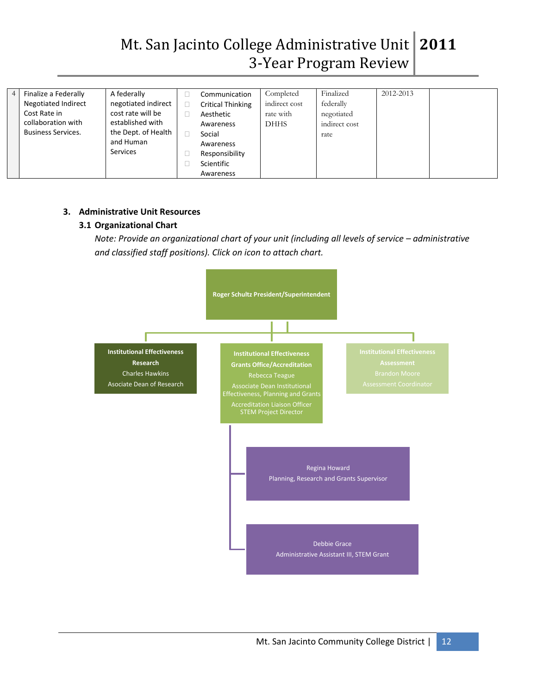# Mt. San Jacinto College Administrative Unit **2011** 3-Year Program Review

| $\overline{4}$ | Finalize a Federally      | A federally         | Communication            | Completed     | Finalized     | 2012-2013 |  |
|----------------|---------------------------|---------------------|--------------------------|---------------|---------------|-----------|--|
|                | Negotiated Indirect       | negotiated indirect | <b>Critical Thinking</b> | indirect cost | federally     |           |  |
|                | Cost Rate in              | cost rate will be   | Aesthetic                | rate with     | negotiated    |           |  |
|                | collaboration with        | established with    | Awareness                | <b>DHHS</b>   | indirect cost |           |  |
|                | <b>Business Services.</b> | the Dept. of Health | Social                   |               | rate          |           |  |
|                |                           | and Human           | Awareness                |               |               |           |  |
|                |                           | <b>Services</b>     | Responsibility           |               |               |           |  |
|                |                           |                     | Scientific               |               |               |           |  |
|                |                           |                     | Awareness                |               |               |           |  |

#### **3. Administrative Unit Resources**

#### **3.1 Organizational Chart**

*Note: Provide an organizational chart of your unit (including all levels of service – administrative and classified staff positions). Click on icon to attach chart.* 

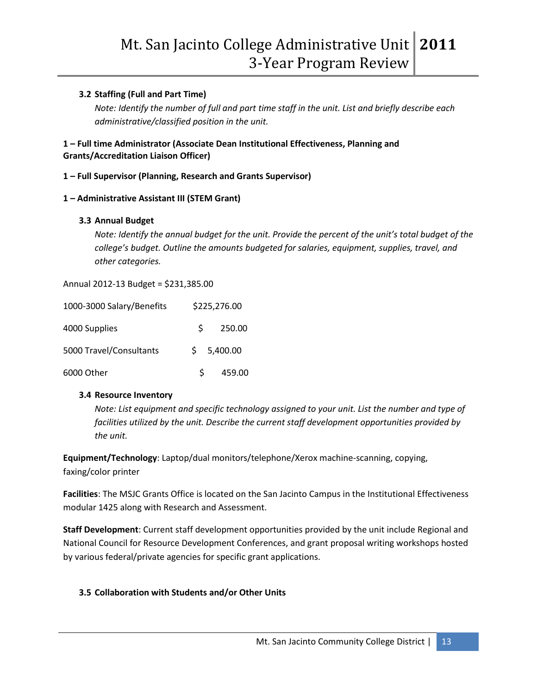#### **3.2 Staffing (Full and Part Time)**

*Note: Identify the number of full and part time staff in the unit. List and briefly describe each administrative/classified position in the unit.* 

#### **1 – Full time Administrator (Associate Dean Institutional Effectiveness, Planning and Grants/Accreditation Liaison Officer)**

#### **1 – Full Supervisor (Planning, Research and Grants Supervisor)**

#### **1 – Administrative Assistant III (STEM Grant)**

#### **3.3 Annual Budget**

*Note: Identify the annual budget for the unit. Provide the percent of the unit's total budget of the college's budget. Outline the amounts budgeted for salaries, equipment, supplies, travel, and other categories.* 

Annual 2012-13 Budget = \$231,385.00

| 1000-3000 Salary/Benefits |    | \$225,276.00 |
|---------------------------|----|--------------|
| 4000 Supplies             | S. | 250.00       |
| 5000 Travel/Consultants   |    | \$5,400.00   |
| 6000 Other                | S. | 459.00       |

#### **3.4 Resource Inventory**

*Note: List equipment and specific technology assigned to your unit. List the number and type of facilities utilized by the unit. Describe the current staff development opportunities provided by the unit.* 

**Equipment/Technology**: Laptop/dual monitors/telephone/Xerox machine-scanning, copying, faxing/color printer

**Facilities**: The MSJC Grants Office is located on the San Jacinto Campus in the Institutional Effectiveness modular 1425 along with Research and Assessment.

**Staff Development**: Current staff development opportunities provided by the unit include Regional and National Council for Resource Development Conferences, and grant proposal writing workshops hosted by various federal/private agencies for specific grant applications.

# **3.5 Collaboration with Students and/or Other Units**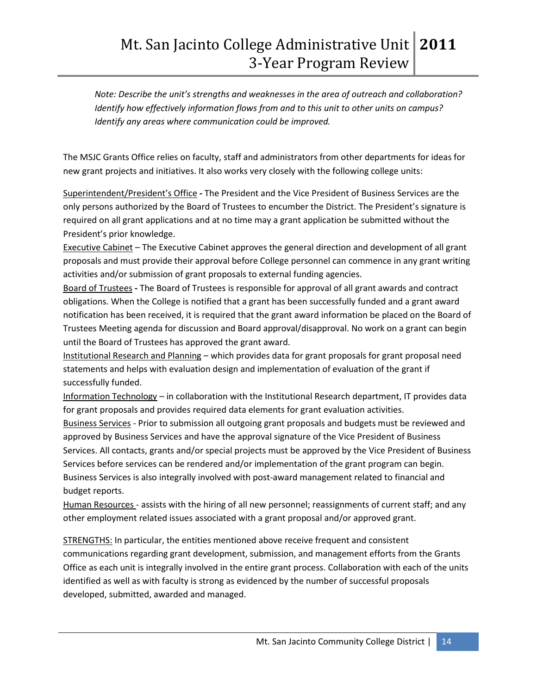*Note: Describe the unit's strengths and weaknesses in the area of outreach and collaboration? Identify how effectively information flows from and to this unit to other units on campus? Identify any areas where communication could be improved.*

The MSJC Grants Office relies on faculty, staff and administrators from other departments for ideas for new grant projects and initiatives. It also works very closely with the following college units:

Superintendent/President's Office **-** The President and the Vice President of Business Services are the only persons authorized by the Board of Trustees to encumber the District. The President's signature is required on all grant applications and at no time may a grant application be submitted without the President's prior knowledge.

Executive Cabinet – The Executive Cabinet approves the general direction and development of all grant proposals and must provide their approval before College personnel can commence in any grant writing activities and/or submission of grant proposals to external funding agencies.

Board of Trustees **-** The Board of Trustees is responsible for approval of all grant awards and contract obligations. When the College is notified that a grant has been successfully funded and a grant award notification has been received, it is required that the grant award information be placed on the Board of Trustees Meeting agenda for discussion and Board approval/disapproval. No work on a grant can begin until the Board of Trustees has approved the grant award.

Institutional Research and Planning – which provides data for grant proposals for grant proposal need statements and helps with evaluation design and implementation of evaluation of the grant if successfully funded.

Information Technology – in collaboration with the Institutional Research department, IT provides data for grant proposals and provides required data elements for grant evaluation activities.

Business Services - Prior to submission all outgoing grant proposals and budgets must be reviewed and approved by Business Services and have the approval signature of the Vice President of Business Services. All contacts, grants and/or special projects must be approved by the Vice President of Business Services before services can be rendered and/or implementation of the grant program can begin. Business Services is also integrally involved with post-award management related to financial and budget reports.

Human Resources - assists with the hiring of all new personnel; reassignments of current staff; and any other employment related issues associated with a grant proposal and/or approved grant.

STRENGTHS: In particular, the entities mentioned above receive frequent and consistent communications regarding grant development, submission, and management efforts from the Grants Office as each unit is integrally involved in the entire grant process. Collaboration with each of the units identified as well as with faculty is strong as evidenced by the number of successful proposals developed, submitted, awarded and managed.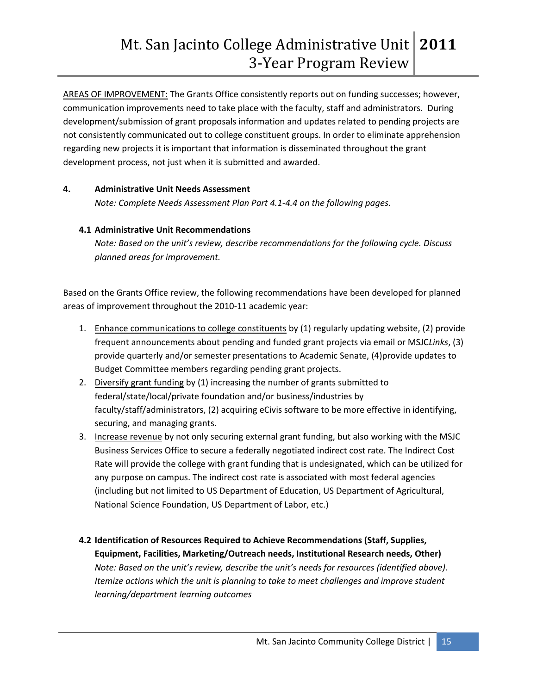AREAS OF IMPROVEMENT: The Grants Office consistently reports out on funding successes; however, communication improvements need to take place with the faculty, staff and administrators. During development/submission of grant proposals information and updates related to pending projects are not consistently communicated out to college constituent groups. In order to eliminate apprehension regarding new projects it is important that information is disseminated throughout the grant development process, not just when it is submitted and awarded.

#### **4. Administrative Unit Needs Assessment**

*Note: Complete Needs Assessment Plan Part 4.1-4.4 on the following pages.* 

# **4.1 Administrative Unit Recommendations**

*Note: Based on the unit's review, describe recommendations for the following cycle. Discuss planned areas for improvement.* 

Based on the Grants Office review, the following recommendations have been developed for planned areas of improvement throughout the 2010-11 academic year:

- 1. Enhance communications to college constituents by (1) regularly updating website, (2) provide frequent announcements about pending and funded grant projects via email or MSJC*Links*, (3) provide quarterly and/or semester presentations to Academic Senate, (4)provide updates to Budget Committee members regarding pending grant projects.
- 2. Diversify grant funding by (1) increasing the number of grants submitted to federal/state/local/private foundation and/or business/industries by faculty/staff/administrators, (2) acquiring eCivis software to be more effective in identifying, securing, and managing grants.
- 3. Increase revenue by not only securing external grant funding, but also working with the MSJC Business Services Office to secure a federally negotiated indirect cost rate. The Indirect Cost Rate will provide the college with grant funding that is undesignated, which can be utilized for any purpose on campus. The indirect cost rate is associated with most federal agencies (including but not limited to US Department of Education, US Department of Agricultural, National Science Foundation, US Department of Labor, etc.)
- **4.2 Identification of Resources Required to Achieve Recommendations (Staff, Supplies, Equipment, Facilities, Marketing/Outreach needs, Institutional Research needs, Other)** *Note: Based on the unit's review, describe the unit's needs for resources (identified above). Itemize actions which the unit is planning to take to meet challenges and improve student learning/department learning outcomes*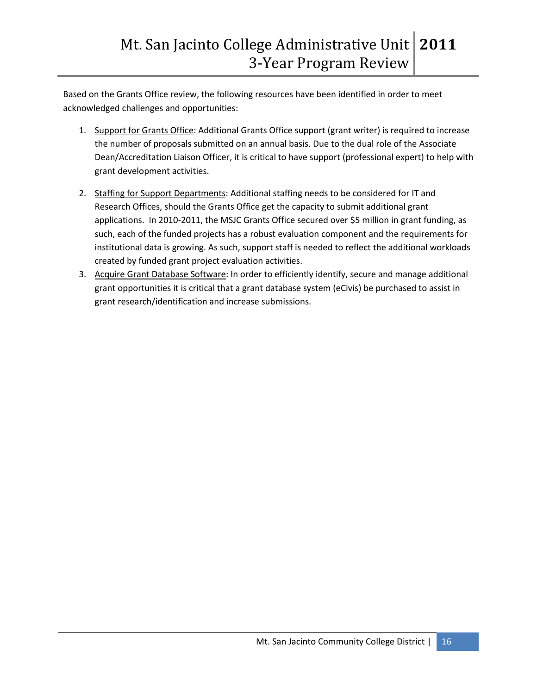Based on the Grants Office review, the following resources have been identified in order to meet acknowledged challenges and opportunities:

- 1. Support for Grants Office: Additional Grants Office support (grant writer) is required to increase the number of proposals submitted on an annual basis. Due to the dual role of the Associate Dean/Accreditation Liaison Officer, it is critical to have support (professional expert) to help with grant development activities.
- 2. Staffing for Support Departments: Additional staffing needs to be considered for IT and Research Offices, should the Grants Office get the capacity to submit additional grant applications. In 2010-2011, the MSJC Grants Office secured over \$5 million in grant funding, as such, each of the funded projects has a robust evaluation component and the requirements for institutional data is growing. As such, support staff is needed to reflect the additional workloads created by funded grant project evaluation activities.
- 3. Acquire Grant Database Software: In order to efficiently identify, secure and manage additional grant opportunities it is critical that a grant database system (eCivis) be purchased to assist in grant research/identification and increase submissions.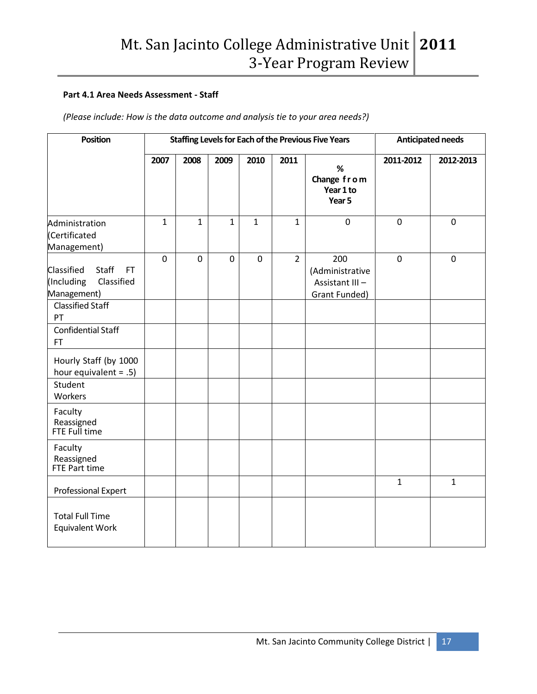#### **Part 4.1 Area Needs Assessment - Staff**

*(Please include: How is the data outcome and analysis tie to your area needs?)*

| <b>Position</b>                                                             | <b>Staffing Levels for Each of the Previous Five Years</b> |             | <b>Anticipated needs</b> |              |                |                                                           |              |              |
|-----------------------------------------------------------------------------|------------------------------------------------------------|-------------|--------------------------|--------------|----------------|-----------------------------------------------------------|--------------|--------------|
|                                                                             | 2007                                                       | 2008        | 2009                     | 2010         | 2011           | $\%$<br>Change from<br>Year 1 to<br>Year 5                | 2011-2012    | 2012-2013    |
| Administration<br>(Certificated<br>Management)                              | $\mathbf{1}$                                               | 1           | 1                        | $\mathbf{1}$ | $\mathbf{1}$   | $\mathbf 0$                                               | $\mathbf 0$  | $\mathbf 0$  |
| Staff<br>Classified<br><b>FT</b><br>Classified<br>(Including<br>Management) | $\overline{0}$                                             | $\mathbf 0$ | $\mathbf 0$              | $\mathbf 0$  | $\overline{2}$ | 200<br>(Administrative<br>Assistant III-<br>Grant Funded) | $\mathbf 0$  | $\mathbf 0$  |
| <b>Classified Staff</b><br>PT                                               |                                                            |             |                          |              |                |                                                           |              |              |
| <b>Confidential Staff</b><br><b>FT</b>                                      |                                                            |             |                          |              |                |                                                           |              |              |
| Hourly Staff (by 1000<br>hour equivalent = $.5$ )                           |                                                            |             |                          |              |                |                                                           |              |              |
| Student<br>Workers                                                          |                                                            |             |                          |              |                |                                                           |              |              |
| Faculty<br>Reassigned<br>FTE Full time                                      |                                                            |             |                          |              |                |                                                           |              |              |
| Faculty<br>Reassigned<br>FTE Part time                                      |                                                            |             |                          |              |                |                                                           |              |              |
| Professional Expert                                                         |                                                            |             |                          |              |                |                                                           | $\mathbf{1}$ | $\mathbf{1}$ |
| <b>Total Full Time</b><br><b>Equivalent Work</b>                            |                                                            |             |                          |              |                |                                                           |              |              |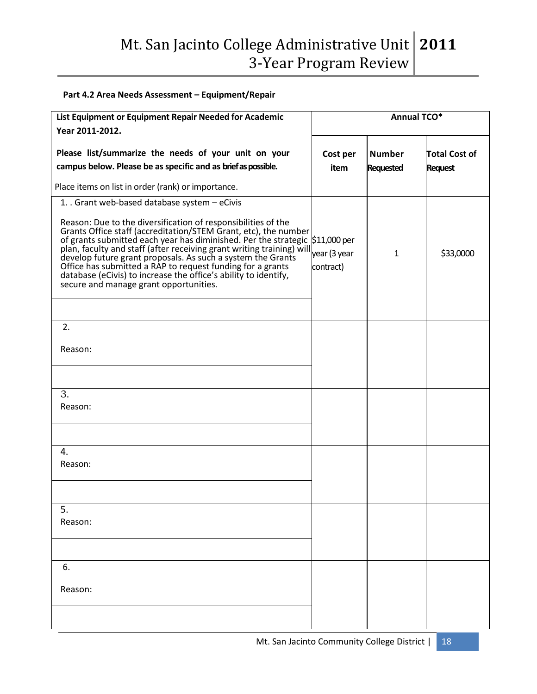# **Part 4.2 Area Needs Assessment – Equipment/Repair**

| List Equipment or Equipment Repair Needed for Academic<br>Year 2011-2012.                                                                                                                                                                                                                                                                                                                                                                                                                                                                                                          | <b>Annual TCO*</b>        |                                   |                                        |  |  |  |
|------------------------------------------------------------------------------------------------------------------------------------------------------------------------------------------------------------------------------------------------------------------------------------------------------------------------------------------------------------------------------------------------------------------------------------------------------------------------------------------------------------------------------------------------------------------------------------|---------------------------|-----------------------------------|----------------------------------------|--|--|--|
| Please list/summarize the needs of your unit on your<br>campus below. Please be as specific and as brief as possible.                                                                                                                                                                                                                                                                                                                                                                                                                                                              | Cost per<br>item          | <b>Number</b><br><b>Requested</b> | <b>Total Cost of</b><br><b>Request</b> |  |  |  |
| Place items on list in order (rank) or importance.                                                                                                                                                                                                                                                                                                                                                                                                                                                                                                                                 |                           |                                   |                                        |  |  |  |
| 1. Grant web-based database system - eCivis<br>Reason: Due to the diversification of responsibilities of the<br>Grants Office staff (accreditation/STEM Grant, etc), the number<br>of grants submitted each year has diminished. Per the strategic \$11,000 per<br>plan, faculty and staff (after receiving grant writing training) will<br>develop future grant proposals. As such a system the Grants<br>Office has submitted a RAP to request funding for a grants<br>database (eCivis) to increase the office's ability to identify,<br>secure and manage grant opportunities. | year (3 year<br>contract) | $\mathbf{1}$                      | \$33,0000                              |  |  |  |
| 2.<br>Reason:                                                                                                                                                                                                                                                                                                                                                                                                                                                                                                                                                                      |                           |                                   |                                        |  |  |  |
| 3.<br>Reason:                                                                                                                                                                                                                                                                                                                                                                                                                                                                                                                                                                      |                           |                                   |                                        |  |  |  |
| 4.<br>Reason:                                                                                                                                                                                                                                                                                                                                                                                                                                                                                                                                                                      |                           |                                   |                                        |  |  |  |
| 5.<br>Reason:                                                                                                                                                                                                                                                                                                                                                                                                                                                                                                                                                                      |                           |                                   |                                        |  |  |  |
| 6.<br>Reason:                                                                                                                                                                                                                                                                                                                                                                                                                                                                                                                                                                      |                           |                                   |                                        |  |  |  |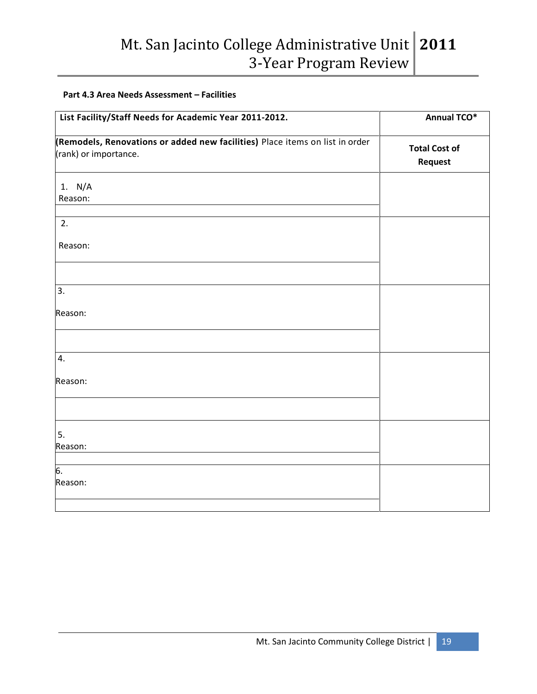#### **Part 4.3 Area Needs Assessment – Facilities**

| List Facility/Staff Needs for Academic Year 2011-2012.                                                | <b>Annual TCO*</b>              |
|-------------------------------------------------------------------------------------------------------|---------------------------------|
| (Remodels, Renovations or added new facilities) Place items on list in order<br>(rank) or importance. | <b>Total Cost of</b><br>Request |
| 1. N/A<br>Reason:                                                                                     |                                 |
|                                                                                                       |                                 |
| 2.                                                                                                    |                                 |
| Reason:                                                                                               |                                 |
|                                                                                                       |                                 |
| 3.                                                                                                    |                                 |
| Reason:                                                                                               |                                 |
|                                                                                                       |                                 |
| 4.                                                                                                    |                                 |
| Reason:                                                                                               |                                 |
|                                                                                                       |                                 |
| 5.                                                                                                    |                                 |
| Reason:                                                                                               |                                 |
| $\overline{6}$ .                                                                                      |                                 |
| Reason:                                                                                               |                                 |
|                                                                                                       |                                 |